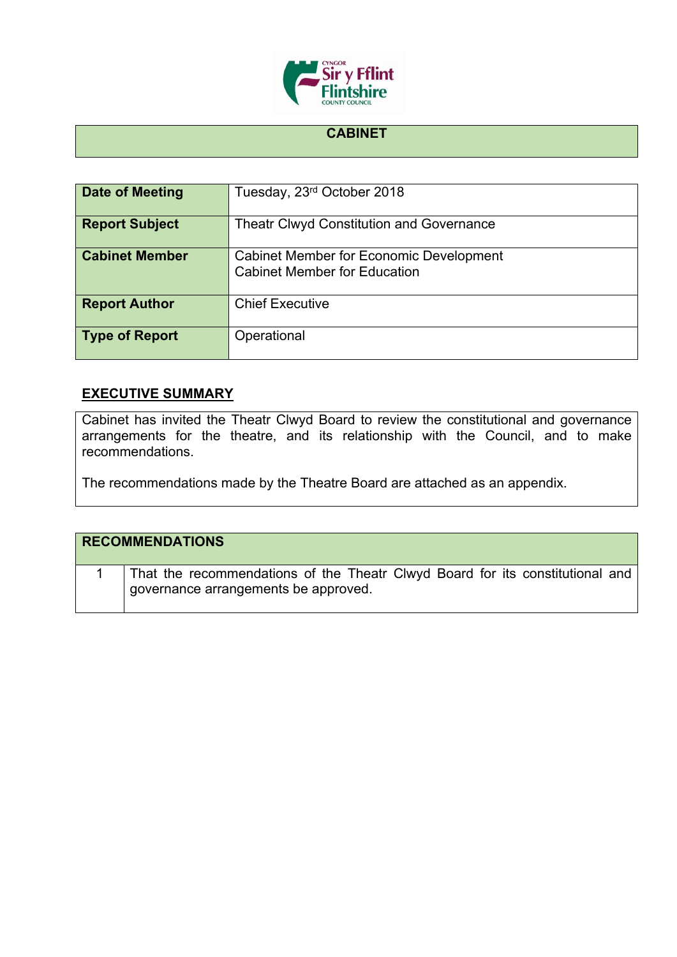

## **CABINET**

| <b>Date of Meeting</b> | Tuesday, 23rd October 2018                                                            |
|------------------------|---------------------------------------------------------------------------------------|
| <b>Report Subject</b>  | <b>Theatr Clwyd Constitution and Governance</b>                                       |
| <b>Cabinet Member</b>  | <b>Cabinet Member for Economic Development</b><br><b>Cabinet Member for Education</b> |
| <b>Report Author</b>   | <b>Chief Executive</b>                                                                |
| <b>Type of Report</b>  | Operational                                                                           |

## **EXECUTIVE SUMMARY**

Cabinet has invited the Theatr Clwyd Board to review the constitutional and governance arrangements for the theatre, and its relationship with the Council, and to make recommendations.

The recommendations made by the Theatre Board are attached as an appendix.

| <b>RECOMMENDATIONS</b>                                                                                                |
|-----------------------------------------------------------------------------------------------------------------------|
| That the recommendations of the Theatr Clwyd Board for its constitutional and<br>governance arrangements be approved. |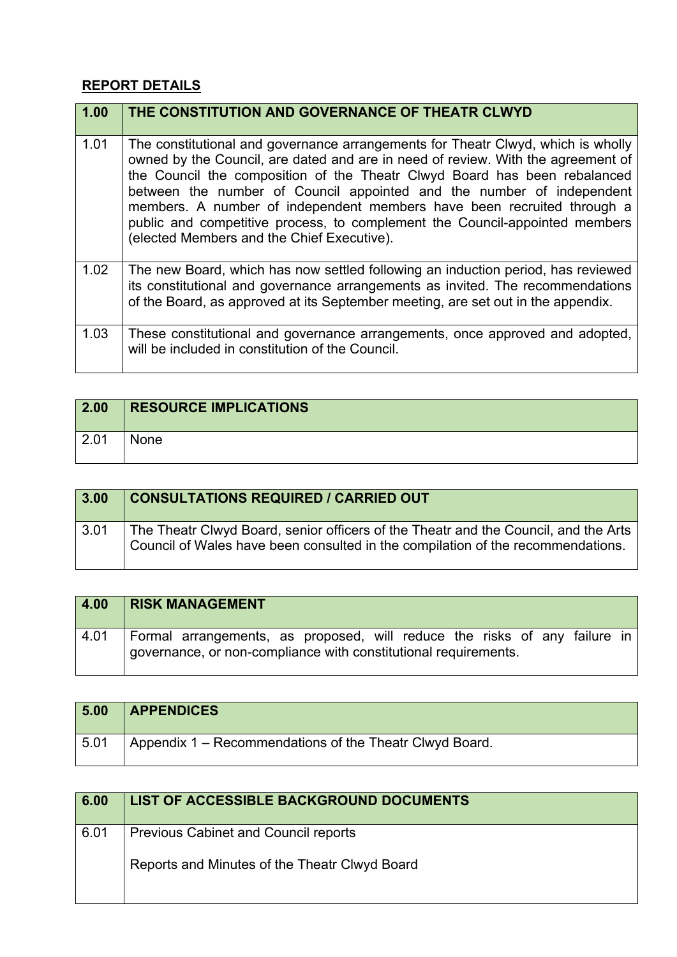## **REPORT DETAILS**

| 1.00 | THE CONSTITUTION AND GOVERNANCE OF THEATR CLWYD                                                                                                                                                                                                                                                                                                                                                                                                                                                                                   |
|------|-----------------------------------------------------------------------------------------------------------------------------------------------------------------------------------------------------------------------------------------------------------------------------------------------------------------------------------------------------------------------------------------------------------------------------------------------------------------------------------------------------------------------------------|
| 1.01 | The constitutional and governance arrangements for Theatr Clwyd, which is wholly<br>owned by the Council, are dated and are in need of review. With the agreement of<br>the Council the composition of the Theatr Clwyd Board has been rebalanced<br>between the number of Council appointed and the number of independent<br>members. A number of independent members have been recruited through a<br>public and competitive process, to complement the Council-appointed members<br>(elected Members and the Chief Executive). |
| 1.02 | The new Board, which has now settled following an induction period, has reviewed<br>its constitutional and governance arrangements as invited. The recommendations<br>of the Board, as approved at its September meeting, are set out in the appendix.                                                                                                                                                                                                                                                                            |
| 1.03 | These constitutional and governance arrangements, once approved and adopted,<br>will be included in constitution of the Council.                                                                                                                                                                                                                                                                                                                                                                                                  |

| $\boxed{2.00}$ | <b>RESOURCE IMPLICATIONS</b> |
|----------------|------------------------------|
| 2.01           | <b>None</b>                  |

| 3.00 | <b>CONSULTATIONS REQUIRED / CARRIED OUT</b>                                                                                                                            |
|------|------------------------------------------------------------------------------------------------------------------------------------------------------------------------|
| 3.01 | The Theatr Clwyd Board, senior officers of the Theatr and the Council, and the Arts<br>Council of Wales have been consulted in the compilation of the recommendations. |

| 4.00 | <b>RISK MANAGEMENT</b>                                                                                                                       |  |  |  |  |  |
|------|----------------------------------------------------------------------------------------------------------------------------------------------|--|--|--|--|--|
| 4.01 | Formal arrangements, as proposed, will reduce the risks of any failure in<br>governance, or non-compliance with constitutional requirements. |  |  |  |  |  |

| 5.00 | <b>APPENDICES</b>                                       |
|------|---------------------------------------------------------|
| 5.01 | Appendix 1 – Recommendations of the Theatr Clwyd Board. |

| 6.00 | LIST OF ACCESSIBLE BACKGROUND DOCUMENTS       |
|------|-----------------------------------------------|
| 6.01 | <b>Previous Cabinet and Council reports</b>   |
|      | Reports and Minutes of the Theatr Clwyd Board |